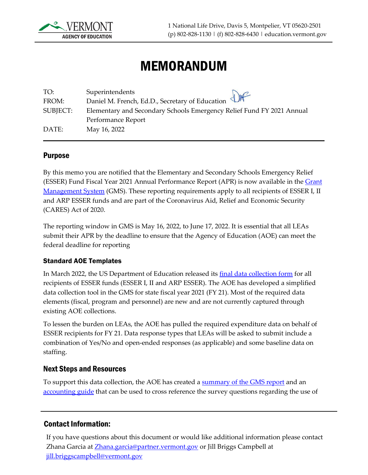

# MEMORANDUM

| TO:      | Superintendents                                                                             |
|----------|---------------------------------------------------------------------------------------------|
| FROM:    | Daniel M. French, Ed.D., Secretary of Education $\bigoplus_{m \in \mathbb{N}} \mathbb{R}^m$ |
| SUBJECT: | Elementary and Secondary Schools Emergency Relief Fund FY 2021 Annual                       |
|          | Performance Report                                                                          |
| DATE:    | May 16, 2022                                                                                |

## Purpose

By this memo you are notified that the Elementary and Secondary Schools Emergency Relief (ESSER) Fund Fiscal Year 2021 Annual Performance Report (APR) is now available in the [Grant](https://vtaoe.mtwgms.org/vermontgmsweb/logon.aspx)  [Management System](https://vtaoe.mtwgms.org/vermontgmsweb/logon.aspx) (GMS). These reporting requirements apply to all recipients of ESSER I, II and ARP ESSER funds and are part of the Coronavirus Aid, Relief and Economic Security (CARES) Act of 2020.

The reporting window in GMS is May 16, 2022, to June 17, 2022. It is essential that all LEAs submit their APR by the deadline to ensure that the Agency of Education (AOE) can meet the federal deadline for reporting

## Standard AOE Templates

In March 2022, the US Department of Education released its [final data collection form](https://api.covid-relief-data.ed.gov/collection/api/v1/public/docs/ESSER%20Integrated%20Form_3.16_cleanrevised_withtextforportal.pdf) for all recipients of ESSER funds (ESSER I, II and ARP ESSER). The AOE has developed a simplified data collection tool in the GMS for state fiscal year 2021 (FY 21). Most of the required data elements (fiscal, program and personnel) are new and are not currently captured through existing AOE collections.

To lessen the burden on LEAs, the AOE has pulled the required expenditure data on behalf of ESSER recipients for FY 21. Data response types that LEAs will be asked to submit include a combination of Yes/No and open-ended responses (as applicable) and some baseline data on staffing.

## Next Steps and Resources

To support this data collection, the AOE has created a **summary of the GMS report** and an [accounting](https://education.vermont.gov/documents/esser-apr-accounting-guide-fy21) guide that can be used to cross reference the survey questions regarding the use of

## Contact Information:

If you have questions about this document or would like additional information please contact Zhana Garcia at [Zhana.garcia@partner.vermont.gov](mailto:Zhana.garcia@partner.vermont.gov) or Jill Briggs Campbell at [jill.briggscampbell@vermont.gov](mailto:jill.briggscampbell@vermont.gov)